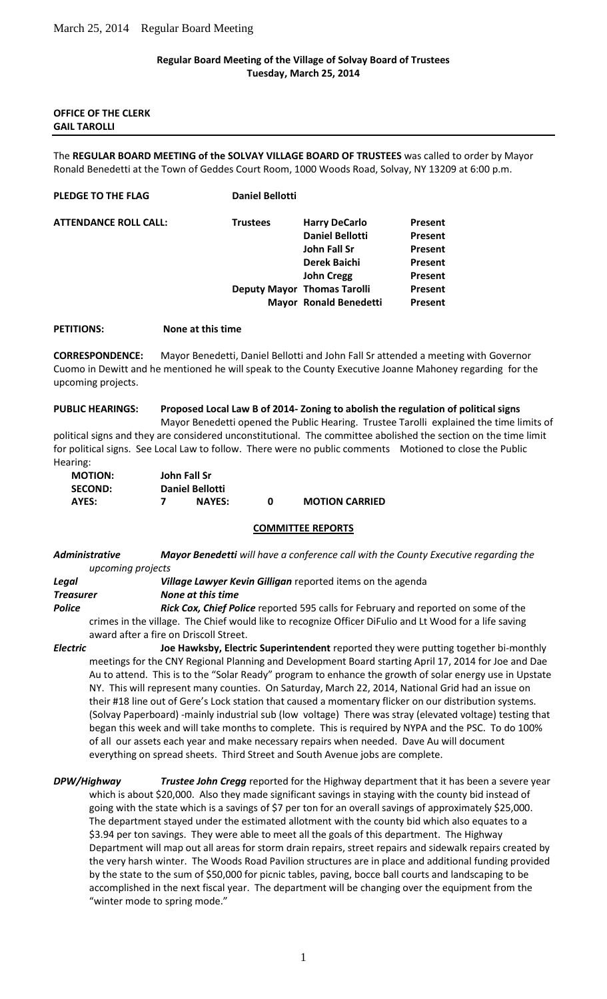### **Regular Board Meeting of the Village of Solvay Board of Trustees Tuesday, March 25, 2014**

### **OFFICE OF THE CLERK GAIL TAROLLI**

The **REGULAR BOARD MEETING of the SOLVAY VILLAGE BOARD OF TRUSTEES** was called to order by Mayor Ronald Benedetti at the Town of Geddes Court Room, 1000 Woods Road, Solvay, NY 13209 at 6:00 p.m.

|                                           | Present                                                                                                                                                                    |
|-------------------------------------------|----------------------------------------------------------------------------------------------------------------------------------------------------------------------------|
|                                           | Present                                                                                                                                                                    |
|                                           | Present                                                                                                                                                                    |
|                                           | Present                                                                                                                                                                    |
|                                           | Present                                                                                                                                                                    |
|                                           | Present                                                                                                                                                                    |
|                                           | Present                                                                                                                                                                    |
| <b>Daniel Bellotti</b><br><b>Trustees</b> | <b>Harry DeCarlo</b><br><b>Daniel Bellotti</b><br>John Fall Sr<br>Derek Baichi<br><b>John Cregg</b><br><b>Deputy Mayor Thomas Tarolli</b><br><b>Mayor Ronald Benedetti</b> |

**PETITIONS: None at this time**

**CORRESPONDENCE:** Mayor Benedetti, Daniel Bellotti and John Fall Sr attended a meeting with Governor Cuomo in Dewitt and he mentioned he will speak to the County Executive Joanne Mahoney regarding for the upcoming projects.

**PUBLIC HEARINGS: Proposed Local Law B of 2014- Zoning to abolish the regulation of political signs** Mayor Benedetti opened the Public Hearing. Trustee Tarolli explained the time limits of political signs and they are considered unconstitutional. The committee abolished the section on the time limit for political signs. See Local Law to follow. There were no public comments Motioned to close the Public Hearing:

| <b>MOTION:</b> | John Fall Sr           |               |   |                       |
|----------------|------------------------|---------------|---|-----------------------|
| <b>SECOND:</b> | <b>Daniel Bellotti</b> |               |   |                       |
| AYES:          |                        | <b>NAYES:</b> | n | <b>MOTION CARRIED</b> |

### **COMMITTEE REPORTS**

*Administrative Mayor Benedetti will have a conference call with the County Executive regarding the upcoming projects*

| Legal            | <b>Village Lawyer Kevin Gilligan</b> reported items on the agenda                                      |
|------------------|--------------------------------------------------------------------------------------------------------|
| <b>Treasurer</b> | None at this time                                                                                      |
| <b>Police</b>    | <b>Rick Cox, Chief Police</b> reported 595 calls for February and reported on some of the              |
|                  | crimes in the village. The Chief would like to recognize Officer DiFulio and Lt Wood for a life saving |

crimes in the village. The Chief would like to recognize Officer DiFulio and Lt Wood for a life saving award after a fire on Driscoll Street.

*Electric* **Joe Hawksby, Electric Superintendent** reported they were putting together bi-monthly meetings for the CNY Regional Planning and Development Board starting April 17, 2014 for Joe and Dae Au to attend. This is to the "Solar Ready" program to enhance the growth of solar energy use in Upstate NY. This will represent many counties. On Saturday, March 22, 2014, National Grid had an issue on their #18 line out of Gere's Lock station that caused a momentary flicker on our distribution systems. (Solvay Paperboard) -mainly industrial sub (low voltage) There was stray (elevated voltage) testing that began this week and will take months to complete. This is required by NYPA and the PSC. To do 100% of all our assets each year and make necessary repairs when needed. Dave Au will document everything on spread sheets. Third Street and South Avenue jobs are complete.

*DPW/Highway Trustee John Cregg* reported for the Highway department that it has been a severe year which is about \$20,000. Also they made significant savings in staying with the county bid instead of going with the state which is a savings of \$7 per ton for an overall savings of approximately \$25,000. The department stayed under the estimated allotment with the county bid which also equates to a \$3.94 per ton savings. They were able to meet all the goals of this department. The Highway Department will map out all areas for storm drain repairs, street repairs and sidewalk repairs created by the very harsh winter. The Woods Road Pavilion structures are in place and additional funding provided by the state to the sum of \$50,000 for picnic tables, paving, bocce ball courts and landscaping to be accomplished in the next fiscal year. The department will be changing over the equipment from the "winter mode to spring mode."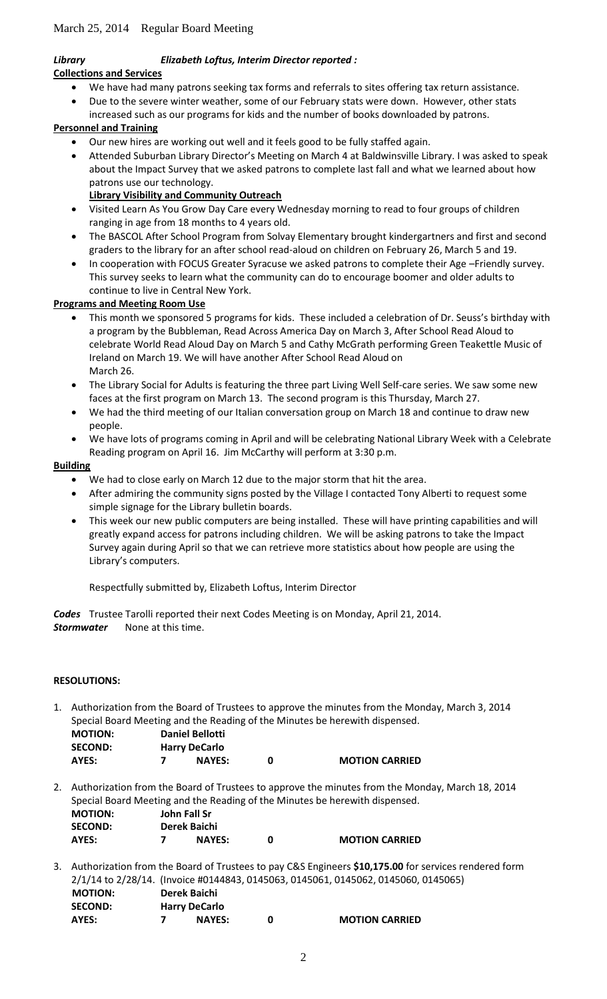# *Library Elizabeth Loftus, Interim Director reported :*

## **Collections and Services**

- We have had many patrons seeking tax forms and referrals to sites offering tax return assistance.
- Due to the severe winter weather, some of our February stats were down. However, other stats
- increased such as our programs for kids and the number of books downloaded by patrons.

# **Personnel and Training**

- Our new hires are working out well and it feels good to be fully staffed again.
- Attended Suburban Library Director's Meeting on March 4 at Baldwinsville Library. I was asked to speak about the Impact Survey that we asked patrons to complete last fall and what we learned about how patrons use our technology.

# **Library Visibility and Community Outreach**

- Visited Learn As You Grow Day Care every Wednesday morning to read to four groups of children ranging in age from 18 months to 4 years old.
- The BASCOL After School Program from Solvay Elementary brought kindergartners and first and second graders to the library for an after school read-aloud on children on February 26, March 5 and 19.
- In cooperation with FOCUS Greater Syracuse we asked patrons to complete their Age –Friendly survey. This survey seeks to learn what the community can do to encourage boomer and older adults to continue to live in Central New York.

## **Programs and Meeting Room Use**

- This month we sponsored 5 programs for kids. These included a celebration of Dr. Seuss's birthday with a program by the Bubbleman, Read Across America Day on March 3, After School Read Aloud to celebrate World Read Aloud Day on March 5 and Cathy McGrath performing Green Teakettle Music of Ireland on March 19. We will have another After School Read Aloud on March 26.
- The Library Social for Adults is featuring the three part Living Well Self-care series. We saw some new faces at the first program on March 13. The second program is this Thursday, March 27.
- We had the third meeting of our Italian conversation group on March 18 and continue to draw new people.
- We have lots of programs coming in April and will be celebrating National Library Week with a Celebrate Reading program on April 16. Jim McCarthy will perform at 3:30 p.m.

## **Building**

- We had to close early on March 12 due to the major storm that hit the area.
- After admiring the community signs posted by the Village I contacted Tony Alberti to request some simple signage for the Library bulletin boards.
- This week our new public computers are being installed. These will have printing capabilities and will greatly expand access for patrons including children. We will be asking patrons to take the Impact Survey again during April so that we can retrieve more statistics about how people are using the Library's computers.

Respectfully submitted by, Elizabeth Loftus, Interim Director

*Codes* Trustee Tarolli reported their next Codes Meeting is on Monday, April 21, 2014. *Stormwater* None at this time.

# **RESOLUTIONS:**

1. Authorization from the Board of Trustees to approve the minutes from the Monday, March 3, 2014 Special Board Meeting and the Reading of the Minutes be herewith dispensed.

| <b>MOTION:</b> | <b>Daniel Bellotti</b> |   |                       |
|----------------|------------------------|---|-----------------------|
| <b>SECOND:</b> | <b>Harry DeCarlo</b>   |   |                       |
| AYES:          | <b>NAYES:</b>          | n | <b>MOTION CARRIED</b> |

2. Authorization from the Board of Trustees to approve the minutes from the Monday, March 18, 2014 Special Board Meeting and the Reading of the Minutes be herewith dispensed. **MOTION: John Fall Sr**

| <b>IVIUTIUN:</b> | JONN FAIL ST  |   |  |
|------------------|---------------|---|--|
| <b>SECOND:</b>   | Derek Baichi  |   |  |
| AYES:            | <b>NAYES:</b> | 0 |  |

**MOTION CARRIED** 

3. Authorization from the Board of Trustees to pay C&S Engineers **\$10,175.00** for services rendered form 2/1/14 to 2/28/14. (Invoice #0144843, 0145063, 0145061, 0145062, 0145060, 0145065)  **MOTION: Derek Baichi**

| .              | __________           |                       |
|----------------|----------------------|-----------------------|
| <b>SECOND:</b> | <b>Harry DeCarlo</b> |                       |
| AYES:          | <b>NAYES:</b>        | <b>MOTION CARRIED</b> |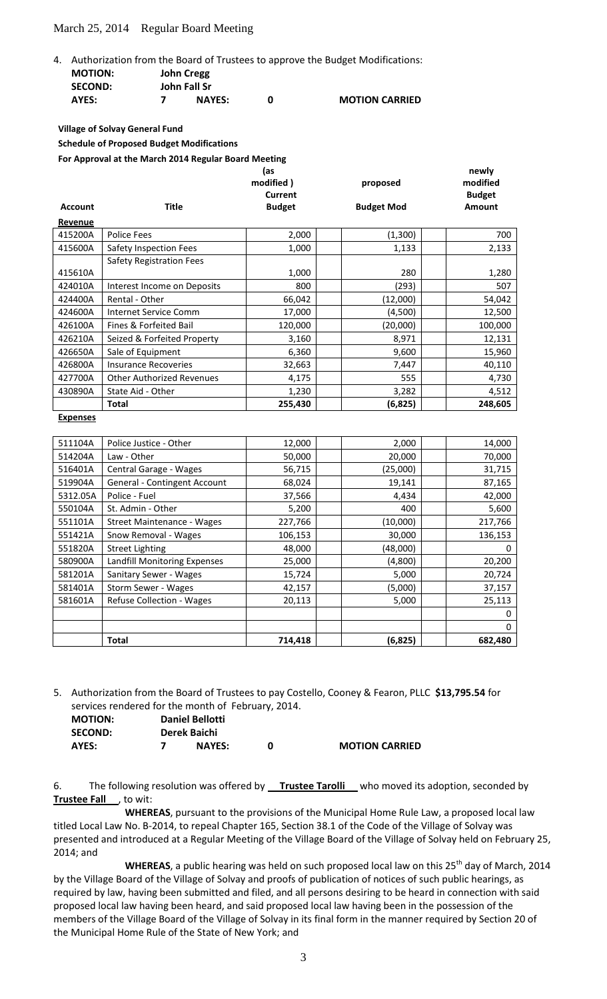### March 25, 2014 Regular Board Meeting

| <b>MOTION:</b> | 4. Authorization from the Board of Trustees to approve the Budget Modifications:<br><b>John Cregg</b> |
|----------------|-------------------------------------------------------------------------------------------------------|
|                |                                                                                                       |

| <b>SECOND:</b> | .<br><b>John Fall Sr</b> |                       |
|----------------|--------------------------|-----------------------|
| AYES:          | <b>NAYES:</b>            | <b>MOTION CARRIED</b> |

**Village of Solvay General Fund**

**Schedule of Proposed Budget Modifications**

**For Approval at the March 2014 Regular Board Meeting**

|                |                                  | (as<br>modified)<br>Current | proposed          | newly<br>modified<br><b>Budget</b> |
|----------------|----------------------------------|-----------------------------|-------------------|------------------------------------|
| <b>Account</b> | <b>Title</b>                     | <b>Budget</b>               | <b>Budget Mod</b> | <b>Amount</b>                      |
| Revenue        |                                  |                             |                   |                                    |
| 415200A        | <b>Police Fees</b>               | 2,000                       | (1,300)           | 700                                |
| 415600A        | Safety Inspection Fees           | 1,000                       | 1,133             | 2,133                              |
|                | Safety Registration Fees         |                             |                   |                                    |
| 415610A        |                                  | 1,000                       | 280               | 1,280                              |
| 424010A        | Interest Income on Deposits      | 800                         | (293)             | 507                                |
| 424400A        | Rental - Other                   | 66,042                      | (12,000)          | 54,042                             |
| 424600A        | Internet Service Comm            | 17,000                      | (4,500)           | 12,500                             |
| 426100A        | Fines & Forfeited Bail           | 120,000                     | (20,000)          | 100,000                            |
| 426210A        | Seized & Forfeited Property      | 3,160                       | 8,971             | 12,131                             |
| 426650A        | Sale of Equipment                | 6,360                       | 9,600             | 15,960                             |
| 426800A        | <b>Insurance Recoveries</b>      | 32,663                      | 7,447             | 40,110                             |
| 427700A        | <b>Other Authorized Revenues</b> | 4,175                       | 555               | 4,730                              |
| 430890A        | State Aid - Other                | 1,230                       | 3,282             | 4,512                              |
|                | <b>Total</b>                     | 255,430                     | (6,825)           | 248,605                            |

**Expenses**

| 511104A  | Police Justice - Other              | 12,000  | 2,000    |         | 14,000 |
|----------|-------------------------------------|---------|----------|---------|--------|
| 514204A  | Law - Other                         | 50,000  | 20,000   |         | 70,000 |
| 516401A  | Central Garage - Wages              | 56,715  | (25,000) |         | 31,715 |
| 519904A  | <b>General - Contingent Account</b> | 68,024  | 19,141   |         | 87,165 |
| 5312.05A | Police - Fuel                       | 37,566  | 4,434    |         | 42,000 |
| 550104A  | St. Admin - Other                   | 5,200   | 400      |         | 5,600  |
| 551101A  | Street Maintenance - Wages          | 227,766 | (10,000) | 217,766 |        |
| 551421A  | Snow Removal - Wages                | 106,153 | 30,000   | 136,153 |        |
| 551820A  | <b>Street Lighting</b>              | 48,000  | (48,000) |         | 0      |
| 580900A  | Landfill Monitoring Expenses        | 25,000  | (4,800)  |         | 20,200 |
| 581201A  | Sanitary Sewer - Wages              | 15,724  | 5,000    |         | 20,724 |
| 581401A  | Storm Sewer - Wages                 | 42,157  | (5,000)  |         | 37,157 |
| 581601A  | <b>Refuse Collection - Wages</b>    | 20,113  | 5,000    |         | 25,113 |
|          |                                     |         |          |         |        |
|          |                                     |         |          |         | 0      |
|          | Total                               | 714,418 | (6,825)  | 682,480 |        |

5. Authorization from the Board of Trustees to pay Costello, Cooney & Fearon, PLLC **\$13,795.54** for services rendered for the month of February, 2014.

| <b>MOTION:</b> | <b>Daniel Bellotti</b> |                       |
|----------------|------------------------|-----------------------|
| <b>SECOND:</b> | Derek Baichi           |                       |
| AYES:          | <b>NAYES:</b>          | <b>MOTION CARRIED</b> |

6. The following resolution was offered by **Trustee Tarolli** who moved its adoption, seconded by **Trustee Fall** , to wit:

**WHEREAS**, pursuant to the provisions of the Municipal Home Rule Law, a proposed local law titled Local Law No. B-2014, to repeal Chapter 165, Section 38.1 of the Code of the Village of Solvay was presented and introduced at a Regular Meeting of the Village Board of the Village of Solvay held on February 25, 2014; and

**WHEREAS**, a public hearing was held on such proposed local law on this 25<sup>th</sup> day of March, 2014 by the Village Board of the Village of Solvay and proofs of publication of notices of such public hearings, as required by law, having been submitted and filed, and all persons desiring to be heard in connection with said proposed local law having been heard, and said proposed local law having been in the possession of the members of the Village Board of the Village of Solvay in its final form in the manner required by Section 20 of the Municipal Home Rule of the State of New York; and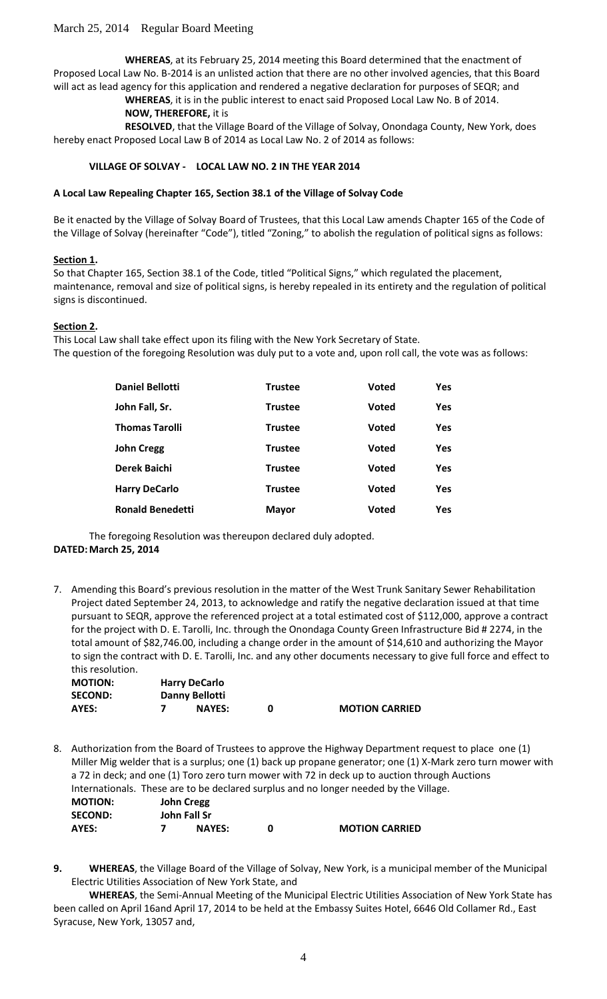**WHEREAS**, at its February 25, 2014 meeting this Board determined that the enactment of Proposed Local Law No. B-2014 is an unlisted action that there are no other involved agencies, that this Board will act as lead agency for this application and rendered a negative declaration for purposes of SEQR; and

> **WHEREAS**, it is in the public interest to enact said Proposed Local Law No. B of 2014. **NOW, THEREFORE,** it is

**RESOLVED**, that the Village Board of the Village of Solvay, Onondaga County, New York, does hereby enact Proposed Local Law B of 2014 as Local Law No. 2 of 2014 as follows:

### **VILLAGE OF SOLVAY - LOCAL LAW NO. 2 IN THE YEAR 2014**

### **A Local Law Repealing Chapter 165, Section 38.1 of the Village of Solvay Code**

Be it enacted by the Village of Solvay Board of Trustees, that this Local Law amends Chapter 165 of the Code of the Village of Solvay (hereinafter "Code"), titled "Zoning," to abolish the regulation of political signs as follows:

### **Section 1.**

So that Chapter 165, Section 38.1 of the Code, titled "Political Signs," which regulated the placement, maintenance, removal and size of political signs, is hereby repealed in its entirety and the regulation of political signs is discontinued.

### **Section 2.**

This Local Law shall take effect upon its filing with the New York Secretary of State. The question of the foregoing Resolution was duly put to a vote and, upon roll call, the vote was as follows:

| <b>Daniel Bellotti</b>  | <b>Trustee</b> | <b>Voted</b> | Yes        |
|-------------------------|----------------|--------------|------------|
| John Fall, Sr.          | <b>Trustee</b> | <b>Voted</b> | <b>Yes</b> |
| <b>Thomas Tarolli</b>   | <b>Trustee</b> | <b>Voted</b> | Yes        |
| <b>John Cregg</b>       | <b>Trustee</b> | <b>Voted</b> | <b>Yes</b> |
| Derek Baichi            | <b>Trustee</b> | <b>Voted</b> | Yes        |
| <b>Harry DeCarlo</b>    | <b>Trustee</b> | <b>Voted</b> | <b>Yes</b> |
| <b>Ronald Benedetti</b> | <b>Mayor</b>   | <b>Voted</b> | <b>Yes</b> |

The foregoing Resolution was thereupon declared duly adopted. **DATED:March 25, 2014**

7. Amending this Board's previous resolution in the matter of the West Trunk Sanitary Sewer Rehabilitation Project dated September 24, 2013, to acknowledge and ratify the negative declaration issued at that time pursuant to SEQR, approve the referenced project at a total estimated cost of \$112,000, approve a contract for the project with D. E. Tarolli, Inc. through the Onondaga County Green Infrastructure Bid # 2274, in the total amount of \$82,746.00, including a change order in the amount of \$14,610 and authorizing the Mayor to sign the contract with D. E. Tarolli, Inc. and any other documents necessary to give full force and effect to this resolution.

| <b>MOTION:</b> | <b>Harry DeCarlo</b> |               |                       |
|----------------|----------------------|---------------|-----------------------|
| <b>SECOND:</b> | Danny Bellotti       |               |                       |
| AYES:          |                      | <b>NAYES:</b> | <b>MOTION CARRIED</b> |

- 8. Authorization from the Board of Trustees to approve the Highway Department request to place one (1) Miller Mig welder that is a surplus; one (1) back up propane generator; one (1) X-Mark zero turn mower with a 72 in deck; and one (1) Toro zero turn mower with 72 in deck up to auction through Auctions Internationals. These are to be declared surplus and no longer needed by the Village. **MOTION: John Cregg SECOND: John Fall Sr AYES: 7 NAYES: 0 MOTION CARRIED**
- **9. WHEREAS**, the Village Board of the Village of Solvay, New York, is a municipal member of the Municipal Electric Utilities Association of New York State, and

**WHEREAS**, the Semi-Annual Meeting of the Municipal Electric Utilities Association of New York State has been called on April 16and April 17, 2014 to be held at the Embassy Suites Hotel, 6646 Old Collamer Rd., East Syracuse, New York, 13057 and,